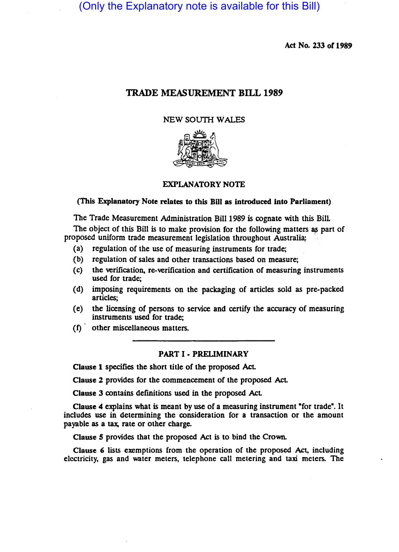(Only the Explanatory note is available for this Bill)

Act No. 233 of 1989

# TRADE MEASUREMENT BILL 1989

## NEW SOUTH WALES



EXPLANATORY NOTE

## (This Explanatory Note relates to this Bill as introduced into Parliament)

The Trade Measurement Administration Bill 1989 is cognate with this Bill

The object of this Bill is to make provision for the following matters as part of proposed uniform trade measurement legislation throughout Australia;

- (a) regulation of the use of measuring instruments for trade;
- (b) regulation of sales and other transactions based on measure;
- (c) the verification, re-verification and certification of measuring instruments used for trade;
- (d) imposing requirements on the packaging of articles sold as pre-packed articles;
- (e) the licensing of persons to service and certify the accuracy of measuring instruments used for trade;
- (1) other miscellaneous matters.

## PART I - PRELIMINARY

Clause 1 specifies the short title of the proposed Act

Clause 2 provides for the commencement of the proposed Act

Clause 3 contains defmitions used in the proposed AcL

Clause 4 explains what is meant by use of a measuring instrument "for trade". It includes use in determining the consideration for a transaction or the amount payable as a tax, rate or other charge.

Clause *S* provides that the proposed Act is to bind the Crown.

Clause 6 lists exemptions from the operation of the proposed Act, including electricity, gas and water meters, telephone call metering and taxi meters. The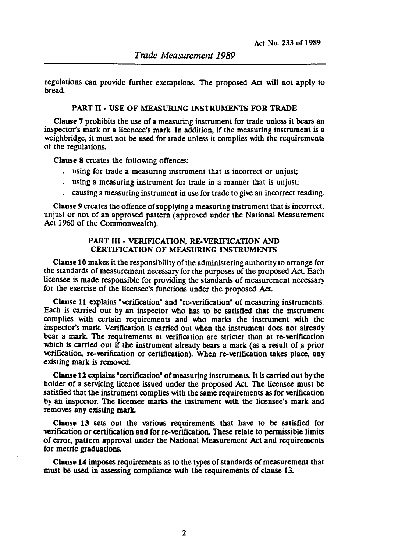regulations can provide further exemptions. The proposed Act will not apply to bread.

## PART II - USE OF MEASURING INSTRUMENTS FOR TRADE

Clause 7 prohibits the use of a measuring instrument for trade unless it bears an inspector's mark or a licencee's mark. In addition, if the measuring instrument is a weighbridge, it must not be used for trade unless it complies with the requirements of the regulations.

Clause 8 creates the following offences:

- using for trade a measuring instrument that is incorrect or unjust;
- using a measuring instrument for trade in a manner that is unjust;
- . causing a measuring instrument in use for trade to give an incorrect reading.

Clause 9 creates the offence of supplying a measuring instrument that is incorrect, unjust or not of an approved pattern (approved under the National Measurement Act 1960 of the Commonwealth).

## PART III - VERIFICATION, RE-VERIFICATION AND CERTIFICATION OF MEASURING INSTRUMENTS

Clause 10 makes it the responsibility of the administering authority to arrange for the standards of measurement necessary for the purposes of the proposed ACL Each licensee is made responsible for providing the standards of measurement necessary for the exercise of the licensee's functions under the proposed Act.

Clause 11 explains "verification" and "re-verification" of measuring instruments. Each is carried out by an inspector who has to be satisfied that the instrument complies with certain requirements and who marks the instrument with the inspector's mark. Verification is carried out when the instrument does not already bear a mark. The requirements at verification are stricter than at re-verification which is carried out if the instrument already bears a mark (as a result of a prior verification, re-verification or certification). When re-verification takes place, any existing mark is removed.

Clause 12 explains "certification" of measuring instruments. It is carried out by the holder of a servicing licence issued under the proposed Act The licensee must be satisfied that the instrument complies with the same requirements as for verification by an inspector. The licensee marks the instrument with the licensee's mark and removes any existing mark.

Clause 13 sets out the various requirements that have to be satisfied for verification or certification and for re-verification. These relate to permissible limits of error, pattern approval under the National Measurement Act and requirements for metric graduations.

Clause **14** imposes requirements as to the types of standards of measurement that must be used in assessing compliance with the requirements of clause 13.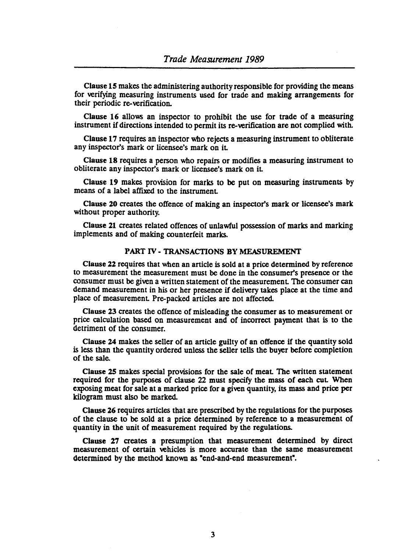Clause 15 makes the administering authority responsible for providing the means for verifying measuring instruments used for trade and making arrangements for their periodic re-verification.

Clause 16 allows an inspector to prohibit the use for trade of a measuring instrument if directions intended to permit its re-verification are not complied with.

Clause 17 requires an inspector who rejects a measuring instrument to obliterate any inspector's mark or licensee's mark on it

Clause 18 requires a person who repairs or modifies a measuring instrument to obliterate any inspector's mark or licensee's mark on it

Clause 19 makes prOvision for marks to be put on measuring instruments by means of a label affixed to the instrument

Clause 20 creates the offence of making an inspector'S mark or licensee's mark without proper authority.

Clause 21 creates related offences of unlawful possession of marks and marking implements and of making counterfeit marks.

## PART IV - TRANSACTIONS BY MEASUREMENT

Clause 22 requires that when an article is sold at a price determined by reference to measurement the measurement must be done in the consumer's presence or the consumer must be given a written statement of the measurement The consumer can demand measurement in his or her presence if delivery takes place at the time and place of measurement Pre-packed articles are not affected.

Clause 23 creates the offence of misleading the consumer as to measurement or price calculation based on measurement and of incorrect payment that is to the detriment of the consumer.

Clause 24 makes the seller of an anicle guilty of an offence if the quantity sold is less than the quantity ordered unless the seller tells the buyer before completion of the sale.

Clause 25 makes special provisions for the sale of meat The written statement required for the purposes of clause 22 must specify the mass of each cut When exposing meat for sale at a marked price for a given quantity, its mass and price per kilogram must also be marked.

Clause 26 requires articles that are prescribed by the regulations for the purposes of the clause to be sold at a price determined by reference to a measurement of quantity in the unit of measurement required by the regulations.

Clause 27 creates a presumption that measurement determined by direct measurement of certain vehicles is more accurate than the same measurement determined by the method known as "end-and-end measurement".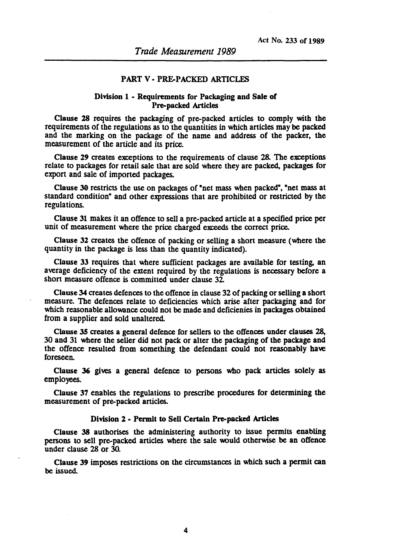## PART V· PRE-PACKED ARTICLES

## Division 1 • Requirements for Packaging and Sale of Pre-packed Articles

Clause 28 requires the packaging of prc-packed articles to comply with the requirements of the regulations as to the quantities in which articles may be packed and the marking on the package of the name and address of the packer, the measurement of the article and its price.

Clause 29 creates exceptions to the requirements of clause 28. The exceptions relate to packages for retail sale that are sold where they are packed, packages for export and sale of imported packages.

Clause 30 restricts the use on packages of "net mass when packed", "net mass at standard condition" and other expressions that are prohibited or restricted by the regulations.

Clause 31 makes it an offence to sell a pre-packed article at a specified price per unit of measurement where the price charged exceeds the correct price.

Clause 32 creates the offence of packing or selling a short measure (where the quantity in the package is less than the quantity indicated).

Clause 33 requires that where sufficient packages are available for testing, an average deficiency of the extent required by the regulations is necessary before a short measure offence is committed under clause  $32$ .

Clause 34 creates defences to the offence in clause 32 of packing or selling a short measure. The defences relate to deficiencies which arise after packaging and for which reasonable allowance could not be made and deficienies in packages obtained from a supplier and sold unaltered.

Clause 35 creates a general defence for sellers to the offences under clauses 28, 30 and 31 where the seller did not pack or alter the packaging of the package and the offence resulted from something the defendant could not reasonably have foreseen.

Clause 36 gives a general defence to persons who pack articles solely as emplOyees.

Clause 37 enables the regulations to prescribe procedures for determining the measurement of pre-packed articles.

#### Division 2 • Permit to Sell Certain Pre-packed Articles

Clause 38 authorises the administering authority to issue permits enabling persons to sell prc-packed articles where the sale \\Quid otherwise be an offence under clause 28 or 30.

Clause 39 imposes restrictions on the circumstances in which such a permit can be issued.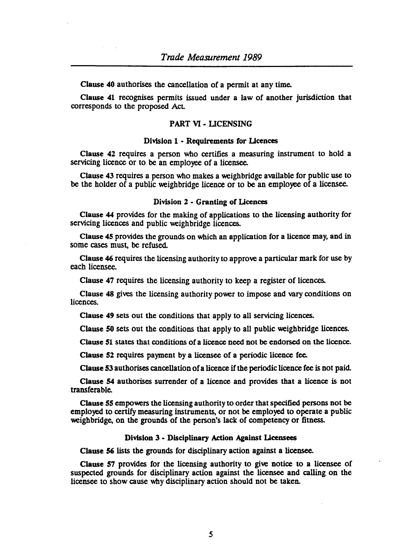Clause 40 authorises the cancellation of a permit at any time.

Clause 41 recognises permits issued under a law of another jurisdiction that corresponds to the proposed Act

## PART VI - LICENSING

#### Division 1 - Requirements for licences

Clause 42 requires a person who certifies a measuring instrument to hold a servicing licence or to be an employee of a licensee.

Clause 43 requires a person who makes a weighbridge available for public use to be the holder of a public weighbridge licence or to be an employee of a licensee.

#### Division 2 - Granting of Licences

Clause 44 provides for the making of applications to the licensing authority for servicing licences and public weighbridge licences.

Clause 45 provides the grounds on which an application for a licence may, and in some cases must, be refused.

Clause 46 requires the licensing authority to approve a particular mark for use by each licensee.

Clause 47 requires the licensing authority to keep a register of licences.

Clause 48 gives the licensing authority power to impose and vary conditions on licences.

Clause 49 sets out the conditions that apply to all servicing licences.

Clause 50 sets out the conditions that apply to all public weighbridge licences.

Clause 51 states that conditions of a licence need not be endorsed on the licence.

Clause 52 requires payment by a licensee of a periodic licence fee.

Clause 53 authorises cancellation of a licence if the periodic licence fee is not paid.

Clause 54 authorises surrender of a licence and provides that a licence is not transferable.

Clause 55 empowers the licensing authority to order that specified persons not be employed to cenify measuring instruments, or not be employed to operate a public weighbridge, on the grounds of the person's lack of competency or fitness.

## Division 3 - Disciplinary Action Against Licensees

Clause 56 lists the grounds for disciplinary action against a licensee.

Clause 57 provides for the licensing authority to give notice to a licensee of suspected grounds for disciplinary action against the licensee and calling on the licensee to show cause why disciplinary action should not be taken.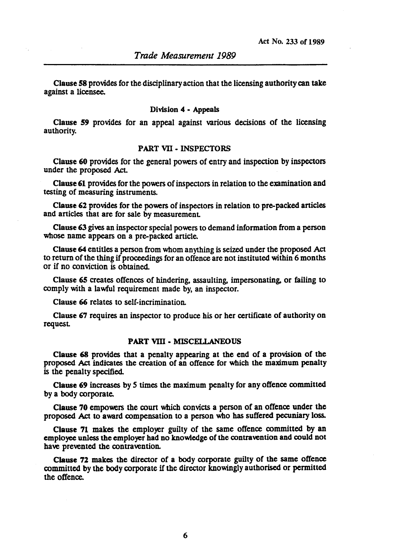Clause 58 provides for the disciplinary action that the licensing authority can take against a licensee.

#### Division 4 • Appeals

Clause 59 provides for an appeal against various decisions of the licensing authority.

## PART VII - INSPECTORS

Clause 60 provides for the general powers of entry and inspection by inspectors under the proposed Act.

Clause 61 provides for the powers of inspectors in relation to the examination and testing of measuring instruments.

Clause 62 provides for the powers of inspectors in relation to pre-packed articles and articles that are for sale by measurement.

Clause 63 gives an inspector special powers to demand information from a person whose name appears on a pre-packed article.

Clause 64 entitles a person from whom anything is seized under the proposed Act to return of the thing if proceedings for an offence ate not instituted within 6 months or if no conviction is obtained.

Clause 65 creates offences of hindering, assaulting, impersonating, or failing to comply with a lawful requirement made by, an inspector.

Clause 66 relates to self-incrimination.

Clause 67 requires an inspector to produce his or her certificate of authority on request.

#### PART VIII - MISCELLANEOUS

Clause 68 provides that a penalty appearing at the end of a provision of the proposed Act indicates the creation of an offence for which the maximum penalty is the penalty specified.

Clause 69 increases by 5 times the maximum penalty for any offence committed by a body corporate.

Clause 70 empowers the court which convicts a person of an offence under the proposed Act to award compensation to a person who has suffered pecuniary loss.

Clause 71 makes the employer guilty of the same offence committed by an employee unless the employer had no knowledge of the contravention and could not have prevented the contravention.

Clause 72 makes the director of a body corporate guilty of the same offence committed by the body corporate if the director knowingly authorised or permitted the offence.